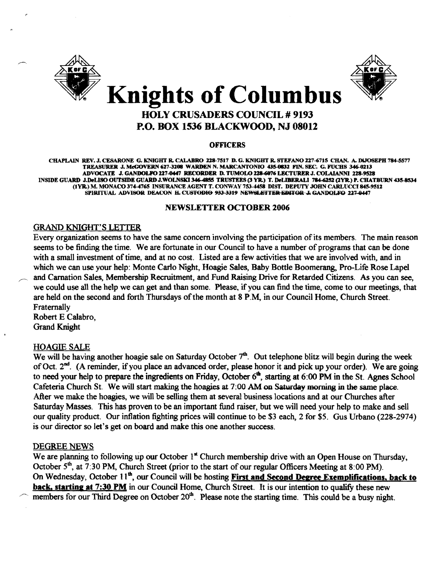



# P.O. BOX 1536 BLACKWOOD, NJ 08012

#### **OFFICERS**

CHAPLAIN REV. J. CESARONE G. KNIGHT R. CALABRO Z28-7517 D. G. KNIGHT R. STEFANO *117-40715* CHAN. A. DlJOSEPH 784-5577 TREASURER J. McGOVERN 627-3208 WARDEN N. MARCANTONIO 435-0832 FIN. SEC. G. FUCHS 346-0213 ADVOCATE J. GANDOLPO 227-0447 RECORDER D. TUMOLO 228-6076 LECTURER J. COLAIANNI 228-9528 INSIDE GUARD J.DeLISO OUTSIDE GUARD J.WOLNSKI 346-4855 TRUSTEES (3 YR.) T. DeLIBERALI 784-6252 (2YR.) P. CHATBURN 435-8534 (1YR.) M. MONACO 374-4765 INSURANCE AGENT T. CONWAY 753-4458 DIST. DEPUTY JOHN CARLUCCI 845-9512 SPIRITUAL ADVISOR DEACON H. CUSTODIO 933-3319 NEWSLETTER EDITOR-J. GANDOLFO 227-0447

#### NEWSLEITER OCTOBER 2006

#### **GRAND KNIGHT'S LETTER**

Every organization seems to have the same concern involving the participation of its members. The main reason seems to be finding the time. We are fortunate in our Council to have a number of programs that can be done with a small investment of time, and at no cost. Listed are a few activities that we are involved with, and in which we can use your help: Monte Carlo Night, Hoagie Sales, Baby Bottle Boomerang, Pro-Life Rose Lapel and Carnation Sales, Membership Recruitment, and Fund Raising Drive for Retarded Citizens. As you can see, we could use all the help we can get and than some. Please. if you can find the time, come to our meetings, that are held on the second and forth Thursdays of the month at 8 P.M, in our Council Home, Church Street. Fraternally

Robert E Calabro, Grand Knight

#### HOAGIE SALE

We will be having another hoagie sale on Saturday October  $7<sup>th</sup>$ . Out telephone blitz will begin during the week of Oct. 2<sup>nd</sup>. (A reminder, if you place an advanced order, please honor it and pick up your order). We are going to need your help to prepare the ingredients on Friday, October  $6<sup>th</sup>$ , starting at 6:00 PM in the St. Agnes School Cafeteria Church St. We will start making the hoagies at 7:00 AM on Saturday morning in the same place. After we make the hoagies, we will be selling them at several business locations and at our Churches after Saturday Masses. This has proven to be an important fund raiser, but we will need your help to make and sell our quality product. Our inflation fighting prices will continue to be \$3 each, 2 for \$5. Gus Urbano (228-2974) is our director so let's get on board and make this one another success.

#### DEGREE NEWS

We are planning to following up our October  $1^{\text{st}}$  Church membership drive with an Open House on Thursday, October 5<sup>th</sup>, at 7:30 PM, Church Street (prior to the start of our regular Officers Meeting at 8:00 PM). On Wednesday, October 11<sup>th</sup>, our Council will be hosting First and Second Degree Exemplifications, back to back, starting at 7:30 PM in our Council Home, Church Street. It is our intention to qualify these new members for our Third Degree on October  $20<sup>th</sup>$ . Please note the starting time. This could be a busy night.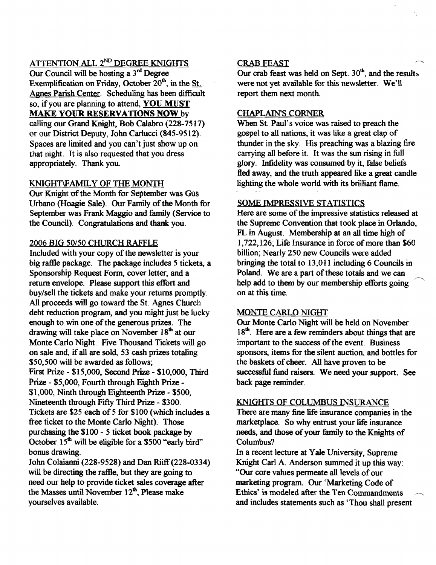# ATTENTION ALL 2<sup>ND</sup> DEGREE KNIGHTS

Our Council will be hosting a  $3<sup>nd</sup>$  Degree Exemplification on Friday, October  $20<sup>th</sup>$ , in the St. Agnes Parish Center. Scheduling has been difficult so, if you are planning to attend, YOU MUST MAKE YOUR RESERVATIONS NOW by calling our Grand Knight, Bob Calabro (228-7517) or our District Deputy, John Carlucci (845-9512). Spaces are limited and you can't just show up on that night. It is also requested that you dress appropriately. Thank you.

## KNIGHT\FAMIL Y OF TIlE MONTH

Our Knight of the Month for September was Gus Urbano (Hoagie Sale). Our Family of the Month for September was Frank Maggio and family (Service to the Council). Congratulations and thank you.

#### 2006 BIG 50/50 CHURCH RAFFLE

Included with your copy of the newsletter is your big raffie package. The package includes 5 tickets, a Sponsorship Request Form, cover letter, and a return envelope. Please support this effort and buy/sell the tickets and make your returns promptly. All proceeds will go toward the St. Agnes Church debt reduction program, and you might just be lucky enough to win one of the generous prizes. The drawing will take place on November 18<sup>th</sup> at our Monte Carlo Night. Five Thousand Tickets will go on sale and, ifall are sold, 53 cash prizes totaling 550,500 will be awarded as follows; First Prize - \$15,000, Second Prize - \$10,000, Third Prize - \$5,000, Fourth through Eighth Prize \$1,000, Ninth through Eighteenth Prize - \$500, Nineteenth through Fifty Third Prize - \$300. Tickets are \$25 each of 5 for \$100 (which includes a free ticket to the Monte Carlo Night). Those purchasing the \$100 - 5 ticket book package by October 15<sup>th</sup> will be eligible for a \$500 "early bird" bonus drawing.

John Colaianni (228-9528) and Dan Riiff(228-0334) will be directing the raffie, but they are going to need our help to provide ticket sales coverage after the Masses until November 12<sup>th</sup>, Please make yourselves available.

#### **CRAB FEAST**

Our crab feast was held on Sept.  $30<sup>th</sup>$ , and the results were not yet available for this newsletter. We'll report them next month.

#### CHAPLAIN'S CORNER

When St. Paul's voice was raised to preach the gospel to all nations, it was like a great clap of thunder in the sky. His preaching was a blazing fire carrying all before it. It was the sun rising in full glory. Infidelity was consumed by it, false beliefs fled away, and the truth appeared like a great candle lighting the whole world with its brilliant flame.

#### SOME IMPRESSIVE STATISTICS

Here are some of the impressive statistics released at the Supreme Convention that took place in Orlando, FL in August. Membership at an all time high of  $1,722,126$ ; Life Insurance in force of more than \$60 billion; Nearly 250 new Councils were added bringing the total to 13,011 including 6 Councils in Poland. We are a part of these totals and we can help add to them by our membership efforts going on at this time.

#### MONTE CARLO NIGHT

Our Monte Carlo Night will be held on November 18<sup>th</sup>. Here are a few reminders about things that are important to the success of the event. Business sponsors, items for the silent auction, and bottles for the baskets of cheer. All have proven to be successful fund raisers. We need your support. See back page reminder.

#### KNIGHTS OF COLUMBUS INSURANCE

There are many fine life insurance companies in the marketplace. So why entrust your life insurance needs, and those of your family to the Knights of Columbus?

In a recent lecture at Yale University, Supreme Knight Carl A. Anderson summed it up this way: "Our core values permeate all levels of our marketing program. Our 'Marketing Code of Ethics' is modeled after the Ten Commandments ~ and includes statements such as 'Thou shall present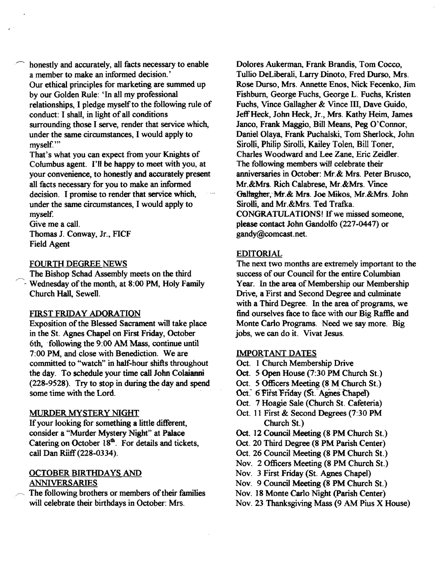honestly and accurately, all facts necessary to enable a member to make an informed decision.' Our ethical principles for marketing are summed up by our Golden Rule: 'In all my professional relationships, I pledge myself to the following rule of conduct: I shall, in light of all conditions surrounding those I serve, render that service which, under the same circumstances, I would apply to myself.'"

That's what you can expect from your Knights of Columbus agent. I'll be happy to meet with you, at your convenience, to honestly and accurately present all facts necessary for you to make an informed decision. I promise to render that service which, under the same circumstances, I would apply to myself.

Give me a call. Thomas J. Conway, Jr., FICF

Field Agent

#### FOURTH DEGREE NEWS

The Bishop Schad Assembly meets on the third /~ Wednesday ofthe month, at 8:00 PM, Holy Family Church Hall, Sewell.

#### FIRST FRIDAY ADORATION

Exposition of the Blessed Sacrament will take place in the St. Agnes Chapel on First Friday, October 6th, following the 9:00 AM Mass, continue until 7:00 PM, and close with Benediction. We are committed to "watch" in half-hour shifts throughout the day. To schedule your time call John Colaianni (228-9528). Try to stop in during the day and spend some time with the Lord.

# MURDER MYSTERY NIGHT

If your looking for something a little different, consider a "Murder Mystery Night" at Palace Catering on October  $18<sup>th</sup>$ . For details and tickets, call Dan Riiff(228-0334).

# OCTOBER BIRTHDAYS AND ANNIVERSARIES

The following brothers or members of their families will celebrate their birthdays in October: Mrs.

Dolores Aukerman, Frank Brandis, Tom Cocco, Tullio DeLiberali, Larry Dinoto, Fred Durso, Mrs. Rose Durso, Mrs. Annette Enos, Nick Fecenko, Jim Fishburn, George Fuchs, George L. Fuchs, Kristen Fuchs, Vince Gallagher & Vince III, Dave Guido, JeffHeck, John Heck, Jr., Mrs. Kathy Heim, James Janco, Frank Maggio, Bill Means, Peg O'Connor, Daniel Olaya, Frank Puchalski, Tom Sherlock, John Sirolli, Philip Sirolli, Kailey Tolen, Bill Toner, Charles Woodward and Lee Zane, Eric Zeidler. The following members will celebrate their anniversaries in October: Mr.& Mrs. Peter Brusco, Mr.&Mrs. Rich Calabrese, Mr.&Mrs. Vince Gallagher, Mr.& Mrs. Joe Mikos, Mr.&Mrs. John Sirolli, and Mr.&Mrs. Ted Tratka. CONGRATULATIONS! If we missed someone, please contact John Gandolfo (227-0447) or gandy@comcast.net.

## EDITORIAL

The next two months are extremely important to the success of our Council for the entire Columbian Year. In the area of Membership our Membership Drive, a First and Second Degree and culminate with a Third Degree. In the area of programs, we find ourselves face to face with our Big Raftle and Monte Carlo Programs. Need we say more. Big jobs, we can do it. Vivat Jesus.

#### IMPORTANT DATES

- Oct. 1 Church Membership Drive
- Oct. 5 Open House (7:30 PM Church St.)
- Oct. 5 Officers Meeting (8 M Church St.)
- Oct. 6 First Friday (St. Agnes Chapel)
- Oct. 7 Hoagie Sale (Church St. Cafeteria)
- Oct. 11 First & Second Degrees (7:30 PM Church St.)
- Oct. 12 Council Meeting (8 PM Church St.)
- Oct. 20 Third Degree (8 PM Parish Center)
- Oct. 26 Council Meeting (8 PM Church St.)
- Nov. 2 Officers Meeting (8 PM Church St.)
- Nov. 3 First Friday (St. Agnes Chapel)
- Nov. 9 Council Meeting (8 PM Church St.)
- Nov. 18 Monte Carlo Night (parish Center)
- Nov. 23 Thanksgiving Mass (9 AM Pius X House)